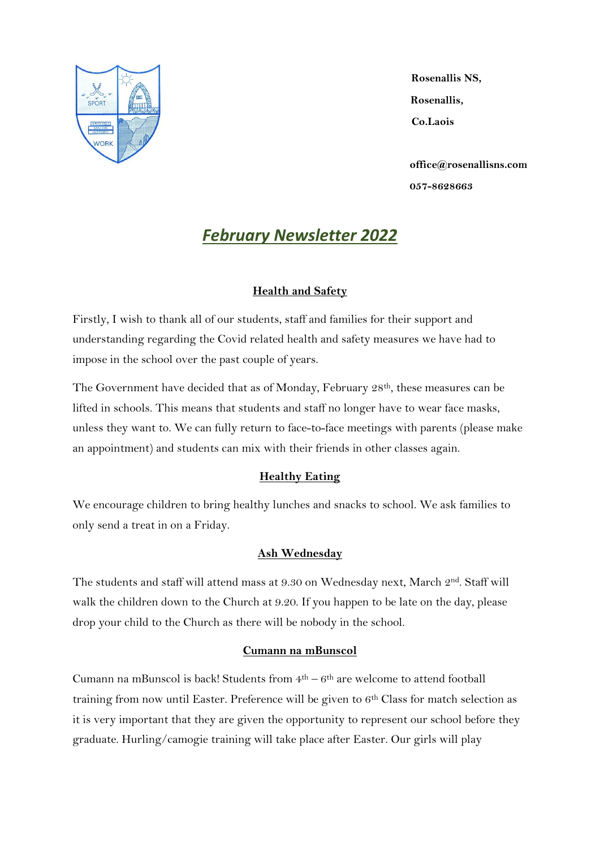

**Rosenallis NS, Rosenallis, Co.Laois**

**[office@rosenallisns.com](mailto:rosenallisns@eircom.net) 057-8628663**

# *February Newsletter 2022*

# **Health and Safety**

Firstly, I wish to thank all of our students, staff and families for their support and understanding regarding the Covid related health and safety measures we have had to impose in the school over the past couple of years.

The Government have decided that as of Monday, February 28th, these measures can be lifted in schools. This means that students and staff no longer have to wear face masks, unless they want to. We can fully return to face-to-face meetings with parents (please make an appointment) and students can mix with their friends in other classes again.

# **Healthy Eating**

We encourage children to bring healthy lunches and snacks to school. We ask families to only send a treat in on a Friday.

# **Ash Wednesday**

The students and staff will attend mass at 9.30 on Wednesday next, March 2<sup>nd</sup>. Staff will walk the children down to the Church at 9.20. If you happen to be late on the day, please drop your child to the Church as there will be nobody in the school.

## **Cumann na mBunscol**

Cumann na mBunscol is back! Students from  $4<sup>th</sup> - 6<sup>th</sup>$  are welcome to attend football training from now until Easter. Preference will be given to  $6<sup>th</sup>$  Class for match selection as it is very important that they are given the opportunity to represent our school before they graduate. Hurling/camogie training will take place after Easter. Our girls will play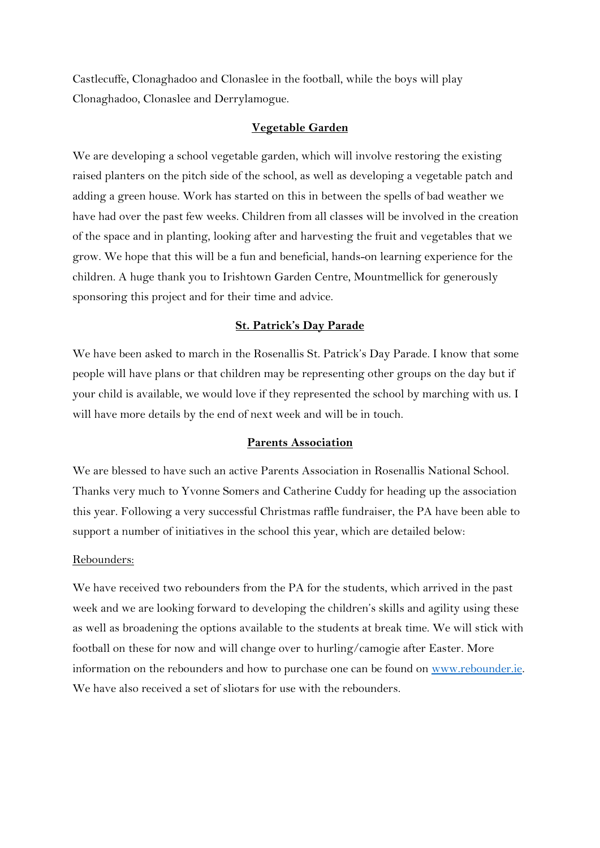Castlecuffe, Clonaghadoo and Clonaslee in the football, while the boys will play Clonaghadoo, Clonaslee and Derrylamogue.

#### **Vegetable Garden**

We are developing a school vegetable garden, which will involve restoring the existing raised planters on the pitch side of the school, as well as developing a vegetable patch and adding a green house. Work has started on this in between the spells of bad weather we have had over the past few weeks. Children from all classes will be involved in the creation of the space and in planting, looking after and harvesting the fruit and vegetables that we grow. We hope that this will be a fun and beneficial, hands-on learning experience for the children. A huge thank you to Irishtown Garden Centre, Mountmellick for generously sponsoring this project and for their time and advice.

#### **St. Patrick's Day Parade**

We have been asked to march in the Rosenallis St. Patrick's Day Parade. I know that some people will have plans or that children may be representing other groups on the day but if your child is available, we would love if they represented the school by marching with us. I will have more details by the end of next week and will be in touch.

#### **Parents Association**

We are blessed to have such an active Parents Association in Rosenallis National School. Thanks very much to Yvonne Somers and Catherine Cuddy for heading up the association this year. Following a very successful Christmas raffle fundraiser, the PA have been able to support a number of initiatives in the school this year, which are detailed below:

#### Rebounders:

We have received two rebounders from the PA for the students, which arrived in the past week and we are looking forward to developing the children's skills and agility using these as well as broadening the options available to the students at break time. We will stick with football on these for now and will change over to hurling/camogie after Easter. More information on the rebounders and how to purchase one can be found on [www.rebounder.ie.](http://www.rebounder.ie/) We have also received a set of sliotars for use with the rebounders.